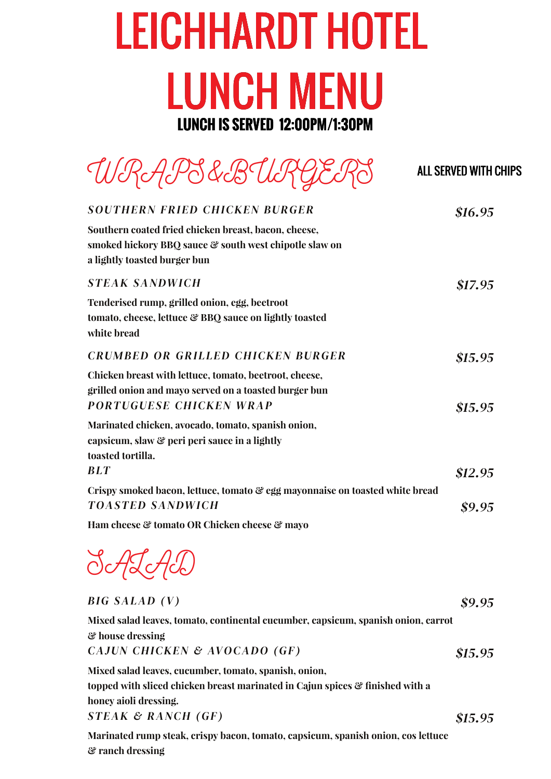### LEICHHARDT HOTEL LUNCH MENU **LUNCH IS SERVED 12:00PM/1:30PM**

| URAPS&B                                                                                                                                                         | <b>ALL SERVED WITH CHIPS</b> |
|-----------------------------------------------------------------------------------------------------------------------------------------------------------------|------------------------------|
| <b>SOUTHERN FRIED CHICKEN BURGER</b>                                                                                                                            | \$16.95                      |
| Southern coated fried chicken breast, bacon, cheese,<br>smoked hickory BBQ sauce & south west chipotle slaw on<br>a lightly toasted burger bun                  |                              |
| <b>STEAK SANDWICH</b>                                                                                                                                           | \$17.95                      |
| Tenderised rump, grilled onion, egg, beetroot<br>tomato, cheese, lettuce & BBQ sauce on lightly toasted<br>white bread                                          |                              |
| <b>CRUMBED OR GRILLED CHICKEN BURGER</b>                                                                                                                        | \$15.95                      |
| Chicken breast with lettuce, tomato, beetroot, cheese,<br>grilled onion and mayo served on a toasted burger bun<br><b>PORTUGUESE CHICKEN WRAP</b>               | \$15.95                      |
| Marinated chicken, avocado, tomato, spanish onion,<br>capsicum, slaw & peri peri sauce in a lightly<br>toasted tortilla.<br><b>BLT</b>                          |                              |
|                                                                                                                                                                 | \$12.95                      |
| Crispy smoked bacon, lettuce, tomato & egg mayonnaise on toasted white bread<br><b>TOASTED SANDWICH</b>                                                         | \$9.95                       |
| Ham cheese & tomato OR Chicken cheese & mayo                                                                                                                    |                              |
| $\sim$ $\sim$ $\sim$                                                                                                                                            |                              |
| <b>BIG SALAD</b> (V)                                                                                                                                            | \$9.95                       |
| Mixed salad leaves, tomato, continental cucumber, capsicum, spanish onion, carrot                                                                               |                              |
| & house dressing<br>CAJUN CHICKEN & AVOCADO (GF)                                                                                                                | \$15.95                      |
| Mixed salad leaves, cucumber, tomato, spanish, onion,<br>topped with sliced chicken breast marinated in Cajun spices & finished with a<br>honey aioli dressing. |                              |
| $STEAK \& RANCH (GF)$                                                                                                                                           | \$15.95                      |

**Marinated rump steak, crispy bacon, tomato, capsicum, spanish onion, cos lettuce & ranch dressing**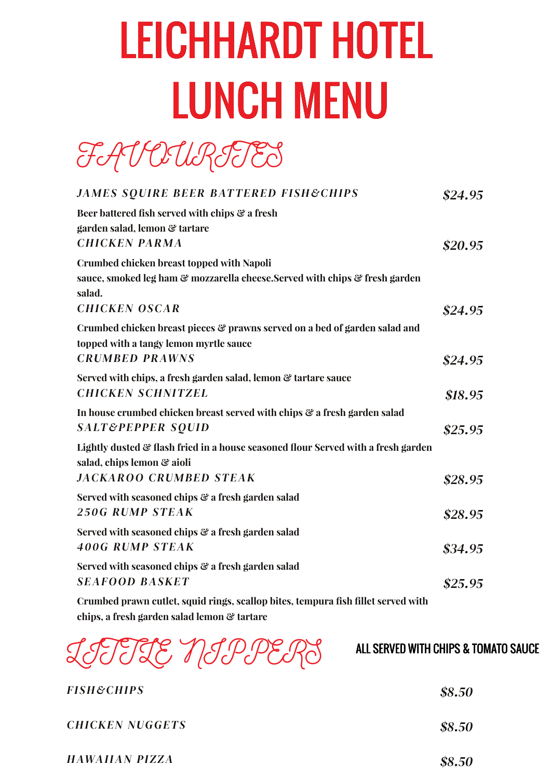# LEICHHARDT HOTEL LUNCH MENU

FAVOURITES

| <b>JAMES SQUIRE BEER BATTERED FISH&amp;CHIPS</b>                                                                                         | \$24.95 |
|------------------------------------------------------------------------------------------------------------------------------------------|---------|
| Beer battered fish served with chips & a fresh<br>garden salad, lemon & tartare<br><b>CHICKEN PARMA</b>                                  | \$20.95 |
| <b>Crumbed chicken breast topped with Napoli</b><br>sauce, smoked leg ham & mozzarella cheese.Served with chips & fresh garden<br>salad. |         |
| <b>CHICKEN OSCAR</b>                                                                                                                     | \$24.95 |
| Crumbed chicken breast pieces & prawns served on a bed of garden salad and<br>topped with a tangy lemon myrtle sauce                     |         |
| <b>CRUMBED PRAWNS</b>                                                                                                                    | \$24.95 |
| Served with chips, a fresh garden salad, lemon & tartare sauce<br><b>CHICKEN SCHNITZEL</b>                                               | \$18.95 |
| In house crumbed chicken breast served with chips & a fresh garden salad<br><b>SALT&amp;PEPPER SQUID</b>                                 | \$25.95 |
| Lightly dusted & flash fried in a house seasoned flour Served with a fresh garden<br>salad, chips lemon & aioli                          |         |
| <b>JACKAROO CRUMBED STEAK</b>                                                                                                            | \$28.95 |
| Served with seasoned chips & a fresh garden salad<br><b>250G RUMP STEAK</b>                                                              | \$28.95 |
| Served with seasoned chips & a fresh garden salad<br><b>400G RUMP STEAK</b>                                                              | \$34.95 |
| Served with seasoned chips & a fresh garden salad<br><b>SEAFOOD BASKET</b>                                                               | \$25.95 |
| Crumbed prawn cutlet, squid rings, scallop bites, tempura fish fillet served with<br>chips, a fresh garden salad lemon & tartare         |         |

LITTLE NIPPERS

#### ALL SERVED WITH CHIPS & TOMATO SAUCE

| <i>FISH&amp;CHIPS</i> | \$8.50 |
|-----------------------|--------|
| CHICKEN NUGGETS       | \$8.50 |
| HAWAIIAN PIZZA        | \$8.50 |